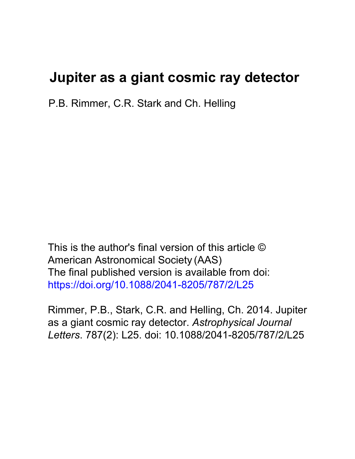# **Jupiter as a giant cosmic ray detector**

P.B. Rimmer, C.R. Stark and Ch. Helling

This is the author's final version of this article © American Astronomical Society (AAS) The final published version is available from doi: https://doi.org/10.1088/2041-8205/787/2/L25

Rimmer, P.B., Stark, C.R. and Helling, Ch. 2014. Jupiter as a giant cosmic ray detector. *Astrophysical Journal Letters*. 787(2): L25. doi: 10.1088/2041-8205/787/2/L25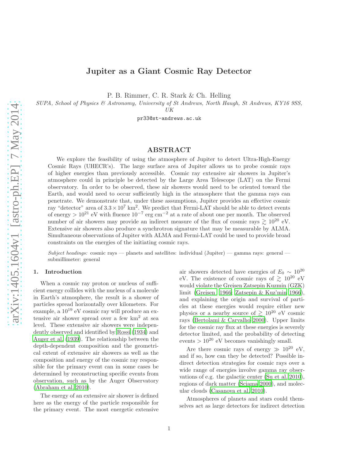# Jupiter as a Giant Cosmic Ray Detector

P. B. Rimmer, C. R. Stark & Ch. Helling

SUPA, School of Physics & Astronomy, University of St Andrews, North Haugh, St Andrews, KY16 9SS,

UK

pr33@st-andrews.ac.uk

# ABSTRACT

We explore the feasibility of using the atmosphere of Jupiter to detect Ultra-High-Energy Cosmic Rays (UHECR's). The large surface area of Jupiter allows us to probe cosmic rays of higher energies than previously accessible. Cosmic ray extensive air showers in Jupiter's atmosphere could in principle be detected by the Large Area Telescope (LAT) on the Fermi observatory. In order to be observed, these air showers would need to be oriented toward the Earth, and would need to occur sufficiently high in the atmosphere that the gamma rays can penetrate. We demonstrate that, under these assumptions, Jupiter provides an effective cosmic ray "detector" area of  $3.3 \times 10^7$  km<sup>2</sup>. We predict that Fermi-LAT should be able to detect events of energy >  $10^{21}$  eV with fluence  $10^{-7}$  erg cm<sup>-2</sup> at a rate of about one per month. The observed number of air showers may provide an indirect measure of the flux of cosmic rays  $\gtrsim 10^{20}$  eV. Extensive air showers also produce a synchrotron signature that may be measurable by ALMA. Simultaneous observations of Jupiter with ALMA and Fermi-LAT could be used to provide broad constraints on the energies of the initiating cosmic rays.

Subject headings: cosmic rays — planets and satellites: individual (Jupiter) — gamma rays: general submillimeter: general

#### 1. Introduction

When a cosmic ray proton or nucleus of sufficient energy collides with the nucleus of a molecule in Earth's atmosphere, the result is a shower of particles spread horizontally over kilometers. For example, a 10<sup>19</sup> eV cosmic ray will produce an extensive air shower spread over a few km<sup>2</sup> at sea level. These extensive air showers were independently observed and identified by [Rossi \(1934](#page-8-0)) and [Auger et al. \(1939](#page-7-0)). The relationship between the depth-dependent composition and the geometrical extent of extensive air showers as well as the composition and energy of the cosmic ray responsible for the primary event can in some cases be determined by reconstructing specific events from observation, such as by the Auger Observatory [\(Abraham et al. 2010\)](#page-7-1).

The energy of an extensive air shower is defined here as the energy of the particle responsible for the primary event. The most energetic extensive air showers detected have energies of  $E_0 \sim 10^{20}$ eV. The existence of cosmic rays of  $\geq 10^{20}$  eV would violate the Greisen Zatsepin Kuzmin (GZK) limit [\(Greisen 1966;](#page-8-1) [Zatsepin & Kuz'min 1966\)](#page-8-2), and explaining the origin and survival of particles at these energies would require either new physics or a nearby source of  $\geq 10^{20}$  eV cosmic rays [\(Bertolami & Carvalho 2000](#page-7-2)). Upper limits for the cosmic ray flux at these energies is severely detector limited, and the probability of detecting events  $> 10^{20}$  eV becomes vanishingly small.

Are there cosmic rays of energy  $\gg 10^{20}$  eV, and if so, how can they be detected? Possible indirect detection strategies for cosmic rays over a wide range of energies involve gamma ray observations of e.g. the galactic center [\(Su et al. 2010\)](#page-8-3), regions of dark matter [\(Sciama 2000](#page-8-4)), and molecular clouds [\(Casanova et al. 2010](#page-7-3)).

Atmospheres of planets and stars could themselves act as large detectors for indirect detection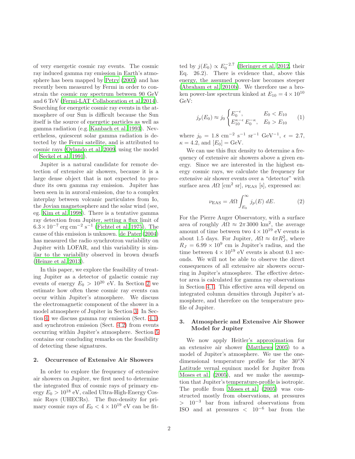of very energetic cosmic ray events. The cosmic ray induced gamma ray emission in Earth's atmosphere has been mapped by [Petry \(2005\)](#page-8-5) and has recently been measured by Fermi in order to constrain the cosmic ray spectrum between 90 GeV and 6 TeV [\(Fermi-LAT Collaboration et al. 2014\)](#page-8-6). Searching for energetic cosmic ray events in the atmosphere of our Sun is difficult because the Sun itself is the source of energetic particles as well as gamma radiation (e.g. [Kanbach et al. 1993](#page-8-7)). Nevertheless, quiescent solar gamma radiation is detected by the Fermi satellite, and is attributed to cosmic rays [\(Orlando et al. 2009,](#page-8-8) using the model of [Seckel et al. 1991\)](#page-8-9).

Jupiter is a natural candidate for remote detection of extensive air showers, because it is a large dense object that is not expected to produce its own gamma ray emission. Jupiter has been seen in in auroral emission, due to a complex interplay between volcanic particulates from Io, the Jovian magnetosphere and the solar wind (see, eg. [Kim et al. 1998\)](#page-8-10). There is a tentative gamma ray detection from Jupiter, setting a flux limit of  $6.3 \times 10^{-7}$  erg cm<sup>-2</sup> s<sup>-1</sup> [\(Fichtel et al. 1975\)](#page-8-11). The cause of this emission is unknown. [de Pater \(2004\)](#page-7-4) has measured the radio synchrotron variability on Jupiter with LOFAR, and this variability is similar to the variability observed in brown dwarfs [\(Heinze et al. 2013](#page-8-12)).

In this paper, we explore the feasibility of treating Jupiter as a detector of galactic cosmic ray events of energy  $E_0 > 10^{20}$  eV. In Section [2](#page-2-0) we estimate how often these cosmic ray events can occur within Jupiter's atmosphere. We discuss the electromagnetic component of the shower in a model atmosphere of Jupiter in Section [3.](#page-2-1) In Section [4,](#page-3-0) we discuss gamma ray emission (Sect. [4.1\)](#page-3-1) and synchrotron emission (Sect. [4.2\)](#page-4-0) from events occurring within Jupiter's atmosphere. Section [5](#page-6-0) contains our concluding remarks on the feasibility of detecting these signatures.

## <span id="page-2-0"></span>2. Occurrence of Extensive Air Showers

In order to explore the frequency of extensive air showers on Jupiter, we first need to determine the integrated flux of cosmic rays of primary energy  $E_0 > 10^{18}$  eV, called Ultra-High-Energy Cosmic Rays (UHECRs). The flux-density for primary cosmic rays of  $E_0 < 4 \times 10^{19}$  eV can be fit-

ted by  $j(E_0) \propto E_0^{-2.7}$  [\(Beringer et al. 2012,](#page-7-5) their Eq. 26.2). There is evidence that, above this energy, the assumed power-law becomes steeper [\(Abraham et al. 2010b\)](#page-7-6). We therefore use a broken power-law spectrum kinked at  $E_{10} = 4 \times 10^{10}$ GeV:

$$
j_p(E_0) \approx j_0 \begin{cases} E_0^{-\epsilon}, & E_0 < E_{10} \\ E_1^{\kappa-\epsilon} E_0^{-\kappa}, & E_0 > E_{10} \end{cases} \tag{1}
$$

where  $j_0 = 1.8$  cm<sup>-2</sup> s<sup>-1</sup> sr<sup>-1</sup> GeV<sup>-1</sup>,  $\epsilon = 2.7$ ,  $\kappa = 4.2$ , and  $[E_0] = GeV$ .

We can use this flux density to determine a frequency of extensive air showers above a given energy. Since we are interested in the highest energy cosmic rays, we calculate the frequency for extensive air shower events over a "detector" with surface area  $A\Omega$  [cm<sup>2</sup> sr],  $\nu_{\rm EAS}$  [s], expressed as:

<span id="page-2-2"></span>
$$
\nu_{\text{EAS}} = A\Omega \int_{E_0}^{\infty} j_p(E) \, dE. \tag{2}
$$

For the Pierre Auger Observatory, with a surface area of roughly  $A\Omega \approx 2\pi 3000 \text{ km}^2$ , the average amount of time between two  $4 \times 10^{19}$  eV events is about 1.5 days. For Jupiter,  $A\Omega \approx 4\pi R_J^2$ , where  $R_J = 6.99 \times 10^9$  cm is Jupiter's radius, and the time between  $4 \times 10^{19}$  eV events is about 0.1 seconds. We will not be able to observe the direct consequences of all extensive air showers occurring in Jupiter's atmosphere. The effective detector area is calculated for gamma ray observations in Section [4.1.](#page-3-1) This effective area will depend on integrated column densities through Jupiter's atmosphere, and therefore on the temperature profile of Jupiter.

# <span id="page-2-1"></span>3. Atmospheric and Extensive Air Shower Model for Jupiter

We now apply Heitler's approximation for an extensive air shower [\(Matthews 2005\)](#page-8-13) to a model of Jupiter's atmosphere. We use the onedimensional temperature profile for the 30◦N Latitude vernal equinox model for Jupiter from [Moses et al. \(2005\)](#page-8-14), and we make the assumption that Jupiter's temperature-profile is isotropic. The profile from [Moses et al. \(2005\)](#page-8-14) was constructed mostly from observations, at pressures  $> 10^{-3}$  bar from infrared observations from ISO and at pressures  $\langle 10^{-6}$  bar from the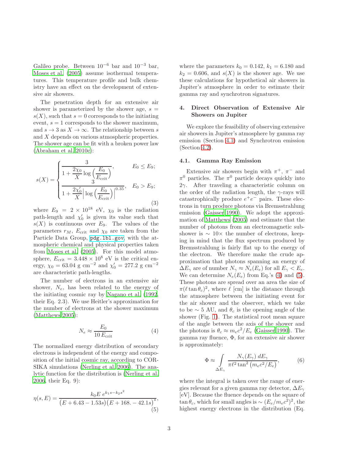Galileo probe. Between  $10^{-6}$  bar and  $10^{-3}$  bar, [Moses et al. \(2005\)](#page-8-14) assume isothermal temperatures. This temperature profile and bulk chemistry have an effect on the development of extensive air showers.

The penetration depth for an extensive air shower is parameterized by the shower age,  $s =$  $s(X)$ , such that  $s = 0$  corresponds to the initiating event,  $s = 1$  corresponds to the shower maximum, and  $s \to 3$  as  $X \to \infty$ . The relationship between s and X depends on various atmospheric properties. The shower age can be fit with a broken power law [\(Abraham et al. 2010c\)](#page-7-7):

$$
s(X) = \begin{cases} \frac{3}{1 + \frac{2\chi_0}{X} \log\left(\frac{E_0}{E_{\text{crit}}}\right)}, & E_0 \le E_9; \\ \frac{3}{1 + \frac{2\chi'_0}{X} \left| \log\left(\frac{E_0}{E_{\text{crit}}}\right) \right|^{0.35}}, & E_0 > E_9; \end{cases}
$$
(3)

where  $E_9 = 2 \times 10^{18}$  eV,  $\chi_0$  is the radiation path-length and  $\chi'_0$  is given its value such that  $s(X)$  is continuous over  $E_9$ . The values of the parameters  $r_M$ ,  $E_{\text{crit}}$  and  $\chi_0$  are taken from the Particle Data Group, <pdg.lbl.gov>, with the atmospheric chemical and physical properties taken from [Moses et al. \(2005\)](#page-8-14). For this model atmosphere,  $E_{\text{crit}} = 3.448 \times 10^8 \text{ eV}$  is the critical energy,  $\chi_0 = 63.04$  g cm<sup>-2</sup> and  $\chi'_0 = 277.2$  g cm<sup>-2</sup> are characteristic path-lengths.

The number of electrons in an extensive air shower,  $N_e$ , has been related to the energy of the initiating cosmic ray by [Nagano et al. \(1992,](#page-8-15) their Eq. 2.3). We use Heitler's approximation for the number of electrons at the shower maximum [\(Matthews 2005\)](#page-8-13):

<span id="page-3-2"></span>
$$
N_e \approx \frac{E_0}{10 \, E_{\text{crit}}} \tag{4}
$$

The normalized energy distribution of secondary electrons is independent of the energy and composition of the initial cosmic ray, according to COR-SIKA simulations [\(Nerling et al. 2006\)](#page-8-16). The analytic function for the distribution is [\(Nerling et al.](#page-8-16) [2006,](#page-8-16) their Eq. 9):

<span id="page-3-3"></span>
$$
\eta(s,E) = \frac{k_0 E \, e^{k_1 s - k_2 s^2}}{(E + 6.43 - 1.53s)(E + 168. - 42.1s)^s},\tag{5}
$$

where the parameters  $k_0 = 0.142$ ,  $k_1 = 6.180$  and  $k_2 = 0.606$ , and  $s(X)$  is the shower age. We use these calculations for hypothetical air showers in Jupiter's atmosphere in order to estimate their gamma ray and synchrotron signatures.

## <span id="page-3-0"></span>4. Direct Observation of Extensive Air Showers on Jupiter

We explore the feasibility of observing extensive air showers in Jupiter's atmosphere by gamma ray emission (Section [4.1\)](#page-3-1) and Synchrotron emission (Section [4.2\)](#page-4-0).

#### <span id="page-3-1"></span>4.1. Gamma Ray Emission

Extensive air showers begin with  $\pi^+$ ,  $\pi^-$  and  $\pi^0$  particles. The  $\pi^0$  particle decays quickly into  $2\gamma$ . After traveling a characteristic column on the order of the radiation length, the  $\gamma$ -rays will catastrophically produce  $e^+e^-$  pairs. These electrons in turn produce photons via Bremsstrahlung emission [\(Gaisser 1990\)](#page-8-17). We adopt the approximation of [Matthews \(2005\)](#page-8-13) and estimate that the number of photons from an electromagnetic subshower is  $\sim 10\times$  the number of electrons, keeping in mind that the flux spectrum produced by Bremsstrahlung is fairly flat up to the energy of the electron. We therefore make the crude approximation that photons spanning an energy of  $\Delta E_{\gamma}$  are of number  $N_{\gamma} \approx N_e(E_e)$  for all  $E_{\gamma} < E_e$ . We can determine  $N_e(E_e)$  from Eq.'s [\(4\)](#page-3-2) and [\(5\)](#page-3-3). These photons are spread over an area the size of  $\pi(\ell \tan \theta_c)^2$ , where  $\ell$  [cm] is the distance through the atmosphere between the initiating event for the air shower and the observer, which we take to be  $\sim$  5 AU, and  $\theta_c$  is the opening angle of the shower (Fig. [1\)](#page-5-0). The statistical root mean square of the angle between the axis of the shower and the photons is  $\theta_c \approx m_e c^2/E_e$  [\(Gaisser 1990\)](#page-8-17). The gamma ray fluence,  $\Phi$ , for an extensive air shower is approximately:

<span id="page-3-4"></span>
$$
\Phi \approx \int_{\Delta E_{\gamma}} \frac{N_{\gamma}(E_{\gamma}) dE_{\gamma}}{\pi \ell^2 \tan^2 \left( m_e c^2 / E_e \right)},
$$
(6)

where the integral is taken over the range of energies relevant for a given gamma ray detector,  $\Delta E_{\gamma}$ [eV]. Because the fluence depends on the square of  $\tan \theta_c$ , which for small angles is ~  $(E_e/m_ec^2)^2$ , the highest energy electrons in the distribution (Eq.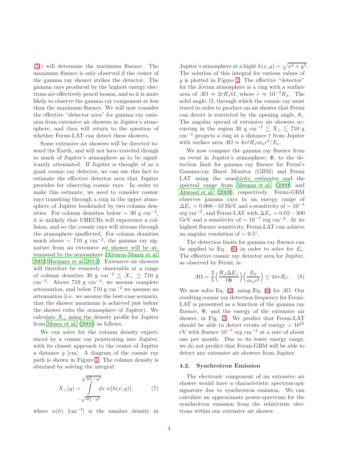[\(5\)](#page-3-3)) will determine the maximum fluence. The maximum fluence is only observed if the center of the gamma ray shower strikes the detector. The gamma rays produced by the highest energy electrons are effectively pencil beams, and so it is more likely to observe the gamma ray component at less than the maximum fluence. We will now consider the effective "detector area" for gamma ray emission from extensive air showers in Jupiter's atmosphere, and then will return to the question of whether Fermi-LAT can detect these showers.

Some extensive air showers will be directed toward the Earth, and will not have traveled though so much of Jupiter's atmosphere as to be significantly attenuated. If Jupiter is thought of as a giant cosmic ray detector, we can use this fact to estimate the effective detector area that Jupiter provides for observing cosmic rays. In order to make this estimate, we need to consider cosmic rays transiting through a ring in the upper atmosphere of Jupiter bookended by two column densities. For column densities below  $\sim 30 \text{ g cm}^{-2}$ , it is unlikely that UHECRs will experience a collision, and so the cosmic rays will stream through the atmosphere unaffected. For column densities much above  $\sim 710 \text{ g cm}^{-2}$ , the gamma ray signature from an extensive air shower will be attenuated by the atmosphere [\(Alvarez-Muniz et al.](#page-7-8) [2002;](#page-7-8) [Beringer et al. 2012](#page-7-5)). Extensive air showers will therefore be remotely observable at a range of column densities 30 g cm<sup>-2</sup>  $\lesssim X_{\perp} \lesssim 710$  g  $\text{cm}^{-2}$ . Above 710 g  $\text{cm}^{-2}$ , we assume complete attenuation, and below 710 g  $cm^{-2}$  we assume no attenuation (i.e. we assume the best-case scenario, that the shower maximum is achieved just before the shower exits the atmosphere of Jupiter). We calculate  $X_{\perp}$  using the density profile for Jupiter from [Moses et al. \(2005](#page-8-14)) as follows.

We can solve for the column density experienced by a cosmic ray penetrating into Jupiter, with its closest approach to the center of Jupiter a distance  $y$  [cm]. A diagram of the cosmic ray path is shown in Figure [1.](#page-5-0) The column density is obtained by solving the integral:

$$
X_{\perp}(y) = \int \limits_{-\sqrt{R_J^2 - y^2}}^{\sqrt{R_J^2 - y^2}} dx \ n\big(h(x, y)\big). \tag{7}
$$

where  $n(h)$  [cm<sup>-3</sup>] is the number density in

Jupiter's atmosphere at a hight  $h(x, y) = \sqrt{x^2 + y^2}$ . The solution of this integral for various values of  $y$  is plotted in Figure [2.](#page-5-1) The effective "detector" for the Jovian atmosphere is a ring with a surface area of  $A\Omega \approx 2rR_J\Omega$ , where  $r \approx 10^{-3}R_J$ . The solid angle,  $\Omega$ , through which the cosmic ray must travel in order to produce an air shower that Fermi can detect is restricted by the opening angle,  $\theta_c$ . The angular spread of extensive air showers occurring in the region 30 g cm<sup>-2</sup>  $\lesssim X_{\perp} \lesssim 710$  g  $\text{cm}^{-2}$  projects a ring at a distance  $\ell$  from Jupiter with surface area  $A\Omega \approx 4\pi \ell R_J m_e c^2/E_e$ .

We now compare the gamma ray fluence from an event in Jupiter's atmosphere, Φ, to the detection limit for gamma ray fluence for Fermi's Gamma-ray Burst Monitor (GBM) and Fermi LAT using the sensitivity estimates and the spectral range from [Meegan et al. \(2009\)](#page-8-18) and [Atwood et al. \(2009\)](#page-7-9), respectively. Fermi-GBM observes gamma rays in an energy range of  $\Delta E_{\gamma} = 0.008 - 10$  MeV and a sensitivity of  $\sim 10^{-5}$ erg cm<sup>-2</sup>, and Fermi-LAT with  $\Delta E_{\gamma} = 0.02 - 300$ GeV and a sensitivity of  $\sim 10^{-7}$  erg cm<sup>-2</sup>. At its highest fluence sensitivity, Fermi-LAT can achieve an angular resolution of  $\sim 0.5^{\circ}$ .

The detection limits for gamma ray fluence can be applied to Eq. [\(6\)](#page-3-4) in order to solve for  $E_e$ . The effective cosmic ray detector area for Jupiter, as observed by Fermi, is:

<span id="page-4-1"></span>
$$
A\Omega = \frac{2}{5} \left( \frac{R_J \Delta E_\gamma}{\ell \Phi} \right) \left( \frac{E_0}{m_e c^2} \right) \le 4\pi r R_J. \tag{8}
$$

We now solve Eq.  $(2)$ , using Eq.  $(8)$  for A $\Omega$ . Our resulting cosmic ray detection frequency for Fermi-LAT is presented as a function of the gamma ray fluence, Φ, and the energy of the extensive air shower, in Fig. [3.](#page-5-2) We predict that Fermi-LAT should be able to detect events of energy  $> 10^{21}$ eV with fluence 10<sup>−</sup><sup>7</sup> erg cm<sup>−</sup><sup>2</sup> at a rate of about one per month. Due to its lower energy range, we do not predict that Fermi-GBM will be able to detect any extensive air showers from Jupiter.

#### <span id="page-4-0"></span>4.2. Synchrotron Emission

The electronic component of an extensive air shower would have a characteristic spectroscopic signature due to synchrotron emission. We can calculate an approximate power-spectrum for the synchrotron emission from the relativistic electrons within our extensive air shower.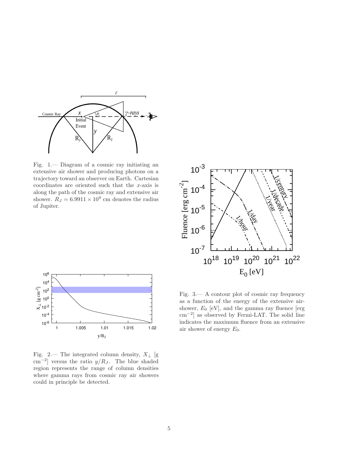

<span id="page-5-0"></span>Fig. 1.— Diagram of a cosmic ray initiating an extensive air shower and producing photons on a trajectory toward an observer on Earth. Cartesian coordinates are oriented such that the x-axis is along the path of the cosmic ray and extensive air shower.  $R_J = 6.9911 \times 10^9$  cm denotes the radius of Jupiter.





<span id="page-5-1"></span>Fig. 2.— The integrated column density,  $X_{\perp}$  [g  $\text{cm}^{-2}$ ] versus the ratio  $y/R_J$ . The blue shaded region represents the range of column densities where gamma rays from cosmic ray air showers could in principle be detected.

<span id="page-5-2"></span>Fig. 3.— A contour plot of cosmic ray frequency as a function of the energy of the extensive airshower,  $E_0$  [eV], and the gamma ray fluence [erg] cm<sup>−</sup><sup>2</sup> ] as observed by Fermi-LAT. The solid line indicates the maximum fluence from an extensive air shower of energy  $E_0$ .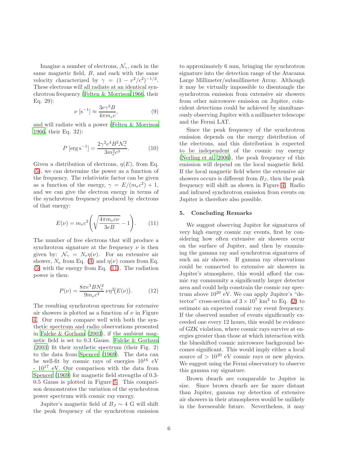Imagine a number of electrons,  $\mathcal{N}_{\gamma}$ , each in the same magnetic field, B, and each with the same velocity characterized by  $\gamma = (1 - v^2/c^2)^{-1/2}$ . These electrons will all radiate at an identical synchrotron frequency [\(Felten & Morrison 1966,](#page-7-10) their Eq. 29):

$$
\nu \left[ s^{-1} \right] \approx \frac{3e\gamma^2 B}{4\pi m_e c},\tag{9}
$$

and will radiate with a power [\(Felten & Morrison](#page-7-10) [1966,](#page-7-10) their Eq. 32):

$$
P\left[\arg s^{-1}\right] = \frac{2\gamma^2 e^4 B^2 \mathcal{N}_{\gamma}^2}{3m_e^2 c^3}.
$$
 (10)

Given a distribution of electrons,  $\eta(E)$ , from Eq. [\(5\)](#page-3-3), we can determine the power as a function of the frequency. The relativistic factor can be given as a function of the energy,  $\gamma = E/(m_e c^2) + 1$ , and we can give the electron energy in terms of the synchrotron frequency produced by electrons of that energy:

<span id="page-6-1"></span>
$$
E(\nu) = m_e c^2 \left( \sqrt{\frac{4\pi m_e c \nu}{3eB}} - 1 \right). \tag{11}
$$

The number of free electrons that will produce a synchrotron signature at the frequency  $\nu$  is then given by:  $\mathcal{N}_{\gamma} = N_e \eta(\nu)$ . For an extensive air shower,  $N_e$  from Eq. [\(4\)](#page-3-2) and  $\eta(\nu)$  comes from Eq. [\(5\)](#page-3-3) with the energy from Eq. [\(11\)](#page-6-1). The radiation power is then:

$$
P(\nu) = \frac{8\pi e^3 B N_e^2}{9m_e c^2} \nu \eta^2(E(\nu)).
$$
 (12)

The resulting synchrotron spectrum for extensive air showers is plotted as a function of  $\nu$  in Figure [4.](#page-7-11) Our results compare well with both the synthetic spectrum and radio observations presented in [Falcke & Gorham \(2003\)](#page-7-12), if the ambient magnetic field is set to 0.3 Gauss. [Falcke & Gorham](#page-7-12) [\(2003\)](#page-7-12) fit their synthetic spectrum (their Fig. 2) to the data from [Spencer \(1969\)](#page-8-19). The data can be well-fit by cosmic rays of energies  $10^{16}$  eV  $-10^{17}$  eV. Our comparison with the data from [Spencer \(1969\)](#page-8-19) for magnetic field strengths of 0.3- 0.5 Gauss is plotted in Figure [5.](#page-7-13) This comparison demonstrates the variation of the synchrotron power spectrum with cosmic ray energy.

Jupiter's magnetic field of  $B_J \sim 4$  G will shift the peak frequency of the synchrotron emission to approximately 6 mm, bringing the synchrotron signature into the detection range of the Atacama Large Millimeter/submillimeter Array. Although it may be virtually impossible to disentangle the synchrotron emission from extensive air showers from other microwave emission on Jupiter, coincident detections could be achieved by simultaneously observing Jupiter with a millimeter telescope and the Fermi LAT.

Since the peak frequency of the synchrotron emission depends on the energy distribution of the electrons, and this distribution is expected to be independent of the cosmic ray energy [\(Nerling et al. 2006\)](#page-8-16), the peak frequency of this emission will depend on the local magnetic field. If the local magnetic field where the extensive air showers occurs is different from  $B_J$ , then the peak frequency will shift as shown in Figure [4.](#page-7-11) Radio and infrared synchrotron emission from events on Jupiter is therefore also possible.

### <span id="page-6-0"></span>5. Concluding Remarks

We suggest observing Jupiter for signatures of very high energy cosmic ray events, first by considering how often extensive air showers occur on the surface of Jupiter, and then by examining the gamma ray and synchrotron signatures of such an air shower. If gamma ray observations could be connected to extensive air showers in Jupiter's atmosphere, this would afford the cosmic ray community a significantly larger detector area and could help constrain the cosmic ray spectrum above  $10^{20}$  eV. We can apply Jupiter's "detector" cross-section of  $3 \times 10^7$  km<sup>2</sup> to Eq. [\(2\)](#page-2-2) to estimate an expected cosmic ray event frequency. If the observed number of events significantly exceeded one every 12 hours, this would be evidence of GZK violation, where cosmic rays survive at energies greater than those at which interaction with the blueshifted cosmic microwave background becomes significant. This would imply either a local source of  $> 10^{20}$  eV cosmic rays or new physics. We suggest using the Fermi observatory to observe this gamma ray signature.

Brown dwarfs are comparable to Jupiter in size. Since brown dwarfs are far more distant than Jupiter, gamma ray detection of extensive air showers in their atmospheres would be unlikely in the foreseeable future. Nevertheless, it may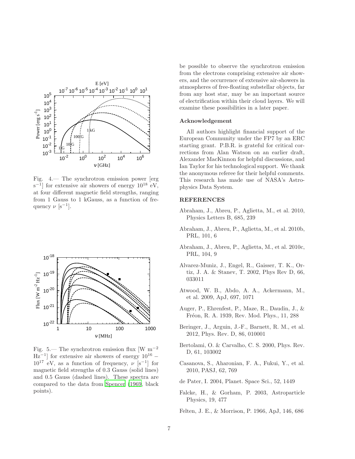

<span id="page-7-11"></span>Fig. 4.— The synchrotron emission power [erg  $s^{-1}$ ] for extensive air showers of energy  $10^{18}$  eV, at four different magnetic field strengths, ranging from 1 Gauss to 1 kGauss, as a function of frequency  $\nu$  [s<sup>-1</sup>].



<span id="page-7-13"></span>Fig. 5.— The synchrotron emission flux [W m<sup>−</sup><sup>2</sup>  $\text{Hz}^{-1}$  for extensive air showers of energy  $10^{16}$  –  $10^{17}$  eV, as a function of frequency,  $\nu$  [s<sup>-1</sup>] for magnetic field strengths of 0.3 Gauss (solid lines) and 0.5 Gauss (dashed lines). These spectra are compared to the data from [Spencer \(1969,](#page-8-19) black points).

be possible to observe the synchrotron emission from the electrons comprising extensive air showers, and the occurrence of extensive air-showers in atmospheres of free-floating substellar objects, far from any host star, may be an important source of electrification within their cloud layers. We will examine these possibilities in a later paper.

#### Acknowledgement

All authors highlight financial support of the European Community under the FP7 by an ERC starting grant. P.B.R. is grateful for critical corrections from Alan Watson on an earlier draft, Alexander MacKinnon for helpful discussions, and Ian Taylor for his technological support. We thank the anonymous referee for their helpful comments. This research has made use of NASA's Astrophysics Data System.

## REFERENCES

- <span id="page-7-1"></span>Abraham, J., Abreu, P., Aglietta, M., et al. 2010, Physics Letters B, 685, 239
- <span id="page-7-6"></span>Abraham, J., Abreu, P., Aglietta, M., et al. 2010b, PRL, 101, 6
- <span id="page-7-7"></span>Abraham, J., Abreu, P., Aglietta, M., et al. 2010c, PRL, 104, 9
- <span id="page-7-8"></span>Alvarez-Muniz, J., Engel, R., Gaisser, T. K., Ortiz, J. A. & Stanev, T. 2002, Phys Rev D, 66, 033011
- <span id="page-7-9"></span>Atwood, W. B., Abdo, A. A., Ackermann, M., et al. 2009, ApJ, 697, 1071
- <span id="page-7-0"></span>Auger, P., Ehrenfest, P., Maze, R., Daudin, J., & Fréon, R. A. 1939, Rev. Mod. Phys., 11, 288
- <span id="page-7-5"></span>Beringer, J., Arguin, J.-F., Barnett, R. M., et al. 2012, Phys. Rev. D, 86, 010001
- <span id="page-7-2"></span>Bertolami, O. & Carvalho, C. S. 2000, Phys. Rev. D, 61, 103002
- <span id="page-7-3"></span>Casanova, S., Aharonian, F. A., Fukui, Y., et al. 2010, PASJ, 62, 769
- <span id="page-7-4"></span>de Pater, I. 2004, Planet. Space Sci., 52, 1449
- <span id="page-7-12"></span>Falcke, H., & Gorham, P. 2003, Astroparticle Physics, 19, 477

<span id="page-7-10"></span>Felten, J. E., & Morrison, P. 1966, ApJ, 146, 686